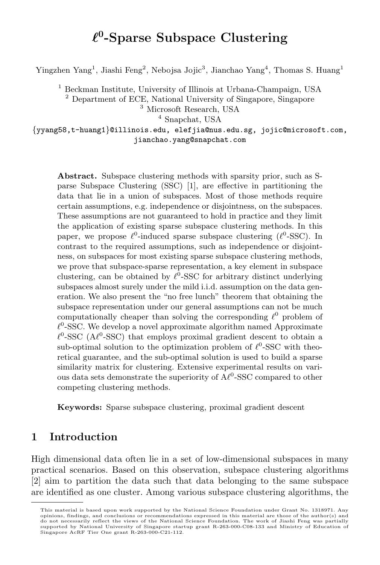# *ℓ* **0 -Sparse Subspace Clustering**

Yingzhen Yang<sup>1</sup>, Jiashi Feng<sup>2</sup>, Nebojsa Jojic<sup>3</sup>, Jianchao Yang<sup>4</sup>, Thomas S. Huang<sup>1</sup>

<sup>1</sup> Beckman Institute, University of Illinois at Urbana-Champaign, USA

<sup>2</sup> Department of ECE, National University of Singapore, Singapore

<sup>3</sup> Microsoft Research, USA

<sup>4</sup> Snapchat, USA

*{*yyang58,t-huang1*}*@illinois.edu, elefjia@nus.edu.sg, jojic@microsoft.com, jianchao.yang@snapchat.com

Abstract. Subspace clustering methods with sparsity prior, such as Sparse Subspace Clustering (SSC) [1], are effective in partitioning the data that lie in a union of subspaces. Most of those methods require certain assumptions, e.g. independence or disjointness, on the subspaces. These assumptions are not guaranteed to hold in practice and they limit the application of existing sparse subspace clustering methods. In this paper, we propose *ℓ* 0 -induced sparse subspace clustering (*ℓ* 0 -SSC). In contrast to the required assumptions, such as independence or disjointness, on subspaces for most existing sparse subspace clustering methods, we prove that subspace-sparse representation, a key element in subspace clustering, can be obtained by *ℓ* 0 -SSC for arbitrary distinct underlying subspaces almost surely under the mild i.i.d. assumption on the data generation. We also present the "no free lunch" theorem that obtaining the subspace representation under our general assumptions can not be much computationally cheaper than solving the corresponding  $\ell^0$  problem of  $\ell^0$ -SSC. We develop a novel approximate algorithm named Approximate  $\ell^0$ -SSC ( $A\ell^0$ -SSC) that employs proximal gradient descent to obtain a sub-optimal solution to the optimization problem of  $\ell^0$ -SSC with theoretical guarantee, and the sub-optimal solution is used to build a sparse similarity matrix for clustering. Extensive experimental results on various data sets demonstrate the superiority of  $Aℓ<sup>0</sup>$ -SSC compared to other competing clustering methods.

**Keywords:** Sparse subspace clustering, proximal gradient descent

# **1 Introduction**

High dimensional data often lie in a set of low-dimensional subspaces in many practical scenarios. Based on this observation, subspace clustering algorithms [2] aim to partition the data such that data belonging to the same subspace are identified as one cluster. Among various subspace clustering algorithms, the

This material is based upon work supported by the National Science Foundation under Grant No. 1318971. Any opinions, findings, and conclusions or recommendations expressed in this material are those of the author(s) and do not necessarily reflect the views of the National Science Foundation. The work of Jiashi Feng was partially supported by National University of Singapore startup grant R-263-000-C08-133 and Ministry of Education of Singapore AcRF Tier One grant R-263-000-C21-112.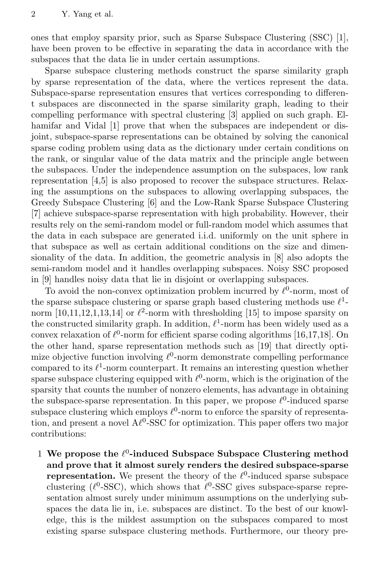ones that employ sparsity prior, such as Sparse Subspace Clustering (SSC) [1], have been proven to be effective in separating the data in accordance with the subspaces that the data lie in under certain assumptions.

Sparse subspace clustering methods construct the sparse similarity graph by sparse representation of the data, where the vertices represent the data. Subspace-sparse representation ensures that vertices corresponding to different subspaces are disconnected in the sparse similarity graph, leading to their compelling performance with spectral clustering [3] applied on such graph. Elhamifar and Vidal [1] prove that when the subspaces are independent or disjoint, subspace-sparse representations can be obtained by solving the canonical sparse coding problem using data as the dictionary under certain conditions on the rank, or singular value of the data matrix and the principle angle between the subspaces. Under the independence assumption on the subspaces, low rank representation [4,5] is also proposed to recover the subspace structures. Relaxing the assumptions on the subspaces to allowing overlapping subspaces, the Greedy Subspace Clustering [6] and the Low-Rank Sparse Subspace Clustering [7] achieve subspace-sparse representation with high probability. However, their results rely on the semi-random model or full-random model which assumes that the data in each subspace are generated i.i.d. uniformly on the unit sphere in that subspace as well as certain additional conditions on the size and dimensionality of the data. In addition, the geometric analysis in [8] also adopts the semi-random model and it handles overlapping subspaces. Noisy SSC proposed in [9] handles noisy data that lie in disjoint or overlapping subspaces.

To avoid the non-convex optimization problem incurred by  $\ell^0$ -norm, most of the sparse subspace clustering or sparse graph based clustering methods use *ℓ* 1 norm  $[10,11,12,1,13,14]$  or  $\ell^2$ -norm with thresholding  $[15]$  to impose sparsity on the constructed similarity graph. In addition,  $\ell^1$ -norm has been widely used as a convex relaxation of  $\ell^0$ -norm for efficient sparse coding algorithms [16,17,18]. On the other hand, sparse representation methods such as [19] that directly optimize objective function involving  $\ell^0$ -norm demonstrate compelling performance compared to its  $\ell^1$ -norm counterpart. It remains an interesting question whether sparse subspace clustering equipped with  $\ell^0$ -norm, which is the origination of the sparsity that counts the number of nonzero elements, has advantage in obtaining the subspace-sparse representation. In this paper, we propose  $\ell^0$ -induced sparse subspace clustering which employs  $\ell^0$ -norm to enforce the sparsity of representation, and present a novel A*ℓ* 0 -SSC for optimization. This paper offers two major contributions:

1 **We propose the** *ℓ* 0 **-induced Subspace Subspace Clustering method and prove that it almost surely renders the desired subspace-sparse representation.** We present the theory of the  $\ell^0$ -induced sparse subspace clustering ( $\ell^0$ -SSC), which shows that  $\ell^0$ -SSC gives subspace-sparse representation almost surely under minimum assumptions on the underlying subspaces the data lie in, i.e. subspaces are distinct. To the best of our knowledge, this is the mildest assumption on the subspaces compared to most existing sparse subspace clustering methods. Furthermore, our theory pre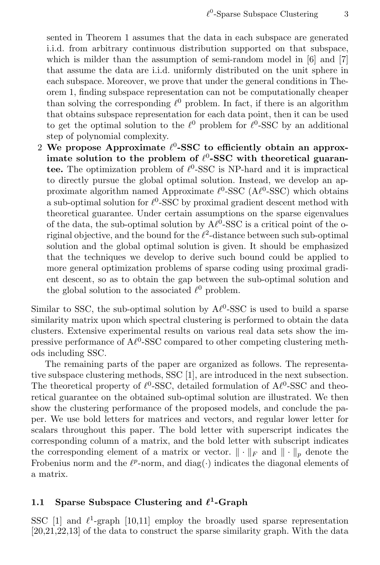sented in Theorem 1 assumes that the data in each subspace are generated i.i.d. from arbitrary continuous distribution supported on that subspace, which is milder than the assumption of semi-random model in [6] and [7] that assume the data are i.i.d. uniformly distributed on the unit sphere in each subspace. Moreover, we prove that under the general conditions in Theorem 1, finding subspace representation can not be computationally cheaper than solving the corresponding  $\ell^0$  problem. In fact, if there is an algorithm that obtains subspace representation for each data point, then it can be used to get the optimal solution to the  $\ell^0$  problem for  $\ell^0$ -SSC by an additional step of polynomial complexity.

2 **We propose Approximate** *ℓ* 0 **-SSC to efficiently obtain an approximate solution to the problem of** *ℓ* 0 **-SSC with theoretical guarantee.** The optimization problem of  $\ell^0$ -SSC is NP-hard and it is impractical to directly pursue the global optimal solution. Instead, we develop an approximate algorithm named Approximate *ℓ* 0 -SSC (A*ℓ* 0 -SSC) which obtains a sub-optimal solution for  $\ell^0$ -SSC by proximal gradient descent method with theoretical guarantee. Under certain assumptions on the sparse eigenvalues of the data, the sub-optimal solution by  $A\ell^0$ -SSC is a critical point of the original objective, and the bound for the  $\ell^2$ -distance between such sub-optimal solution and the global optimal solution is given. It should be emphasized that the techniques we develop to derive such bound could be applied to more general optimization problems of sparse coding using proximal gradient descent, so as to obtain the gap between the sub-optimal solution and the global solution to the associated  $\ell^0$  problem.

Similar to SSC, the sub-optimal solution by  $A\ell^0$ -SSC is used to build a sparse similarity matrix upon which spectral clustering is performed to obtain the data clusters. Extensive experimental results on various real data sets show the impressive performance of  $A\ell^0$ -SSC compared to other competing clustering methods including SSC.

The remaining parts of the paper are organized as follows. The representative subspace clustering methods, SSC [1], are introduced in the next subsection. The theoretical property of  $\ell$ <sup>0</sup>-SSC, detailed formulation of A $\ell$ <sup>0</sup>-SSC and theoretical guarantee on the obtained sub-optimal solution are illustrated. We then show the clustering performance of the proposed models, and conclude the paper. We use bold letters for matrices and vectors, and regular lower letter for scalars throughout this paper. The bold letter with superscript indicates the corresponding column of a matrix, and the bold letter with subscript indicates the corresponding element of a matrix or vector.  $\|\cdot\|_F$  and  $\|\cdot\|_p$  denote the Frobenius norm and the  $\ell^p$ -norm, and diag(⋅) indicates the diagonal elements of a matrix.

### **1.1 Sparse Subspace Clustering and** *ℓ* **1 -Graph**

SSC [1] and  $\ell^1$ -graph [10,11] employ the broadly used sparse representation [20,21,22,13] of the data to construct the sparse similarity graph. With the data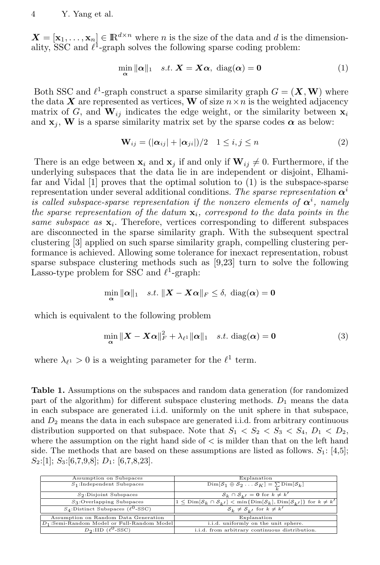$X = [\mathbf{x}_1, \dots, \mathbf{x}_n] \in \mathbb{R}^{d \times n}$  where *n* is the size of the data and *d* is the dimensionality, SSC and  $\ell^1$ -graph solves the following sparse coding problem:

$$
\min_{\alpha} \|\alpha\|_1 \quad s.t. \; \mathbf{X} = \mathbf{X}\alpha, \; \text{diag}(\alpha) = \mathbf{0} \tag{1}
$$

Both SSC and  $\ell^1$ -graph construct a sparse similarity graph  $G = (\mathbf{X}, \mathbf{W})$  where the data *X* are represented as vertices, **W** of size  $n \times n$  is the weighted adjacency matrix of G, and  $\mathbf{W}_{ij}$  indicates the edge weight, or the similarity between  $\mathbf{x}_i$ and  $\mathbf{x}_i$ , **W** is a sparse similarity matrix set by the sparse codes  $\alpha$  as below:

$$
\mathbf{W}_{ij} = (|\boldsymbol{\alpha}_{ij}| + |\boldsymbol{\alpha}_{ji}|)/2 \quad 1 \le i, j \le n \tag{2}
$$

There is an edge between  $\mathbf{x}_i$  and  $\mathbf{x}_j$  if and only if  $\mathbf{W}_{ij} \neq 0$ . Furthermore, if the underlying subspaces that the data lie in are independent or disjoint, Elhamifar and Vidal [1] proves that the optimal solution to (1) is the subspace-sparse representation under several additional conditions. *The sparse representation α<sup>i</sup> is called subspace-sparse representation if the nonzero elements of*  $\alpha^{i}$ , namely *the sparse representation of the datum* **x***i, correspond to the data points in the same subspace as* **x***<sup>i</sup>* . Therefore, vertices corresponding to different subspaces are disconnected in the sparse similarity graph. With the subsequent spectral clustering [3] applied on such sparse similarity graph, compelling clustering performance is achieved. Allowing some tolerance for inexact representation, robust sparse subspace clustering methods such as [9,23] turn to solve the following Lasso-type problem for SSC and *ℓ* 1 -graph:

$$
\min_{\bm{\alpha}} \|\bm{\alpha}\|_1 \quad s.t. \; \|\bm{X} - \bm{X}\bm{\alpha}\|_F \leq \delta, \; \text{diag}(\bm{\alpha}) = \bm{0}
$$

which is equivalent to the following problem

$$
\min_{\alpha} \|\mathbf{X} - \mathbf{X}\alpha\|_{F}^{2} + \lambda_{\ell^{1}} \|\alpha\|_{1} \quad s.t. \text{ diag}(\alpha) = \mathbf{0}
$$
\n(3)

where  $\lambda_{\ell^1} > 0$  is a weighting parameter for the  $\ell^1$  term.

**Table 1.** Assumptions on the subspaces and random data generation (for randomized part of the algorithm) for different subspace clustering methods. *D*<sup>1</sup> means the data in each subspace are generated i.i.d. uniformly on the unit sphere in that subspace, and *D*<sup>2</sup> means the data in each subspace are generated i.i.d. from arbitrary continuous distribution supported on that subspace. Note that  $S_1 < S_2 < S_3 < S_4$ ,  $D_1 < D_2$ , where the assumption on the right hand side of *<* is milder than that on the left hand side. The methods that are based on these assumptions are listed as follows.  $S_1$ : [4,5]; *S*2:[1]; *S*3:[6,7,9,8]; *D*1: [6,7,8,23].

| Assumption on Subspaces                       | Explanation                                                                                                                                       |
|-----------------------------------------------|---------------------------------------------------------------------------------------------------------------------------------------------------|
| $S_1$ :Independent Subspaces                  | $\text{Dim}[\mathcal{S}_1 \oplus \mathcal{S}_2 \ldots \mathcal{S}_K] = \sum \text{Dim}[\mathcal{S}_k]$                                            |
| $S_2$ :Disjoint Subspaces                     | $S_k \cap S_{k'} = 0$ for $k \neq k'$                                                                                                             |
| $S_3$ :Overlapping Subspaces                  | $1 \leq \text{Dim}[\mathcal{S}_k \cap \mathcal{S}_{k'}] < \min\{\text{Dim}[\mathcal{S}_k], \text{Dim}[\mathcal{S}_{k'}]\}\ \text{for } k \neq k'$ |
| $S_4$ :Distinct Subspaces ( $\ell^0$ -SSC)    | $S_k \neq S_{k'}$ for $k \neq k'$                                                                                                                 |
| Assumption on Random Data Generation          | Explanation                                                                                                                                       |
| $D_1$ :Semi-Random Model or Full-Random Model | i.i.d. uniformly on the unit sphere.                                                                                                              |
| $D_2$ :IID $(\ell^0$ -SSC)                    | i.i.d. from arbitrary continuous distribution.                                                                                                    |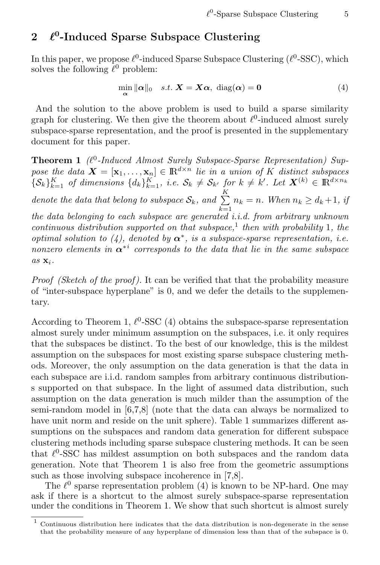# **2** *ℓ* **0 -Induced Sparse Subspace Clustering**

In this paper, we propose  $\ell^0$ -induced Sparse Subspace Clustering ( $\ell^0$ -SSC), which solves the following  $\ell^0$  problem:

$$
\min_{\alpha} \|\alpha\|_0 \quad s.t. \ \mathbf{X} = \mathbf{X}\alpha, \ \mathrm{diag}(\alpha) = \mathbf{0} \tag{4}
$$

And the solution to the above problem is used to build a sparse similarity graph for clustering. We then give the theorem about  $\ell^0$ -induced almost surely subspace-sparse representation, and the proof is presented in the supplementary document for this paper.

**Theorem 1** *(ℓ* 0 *-Induced Almost Surely Subspace-Sparse Representation) Suppose the data*  $\mathbf{X} = [\mathbf{x}_1, \dots, \mathbf{x}_n] \in \mathbb{R}^{d \times n}$  *lie in a union of K distinct subspaces*  $\{\mathcal{S}_k\}_{k=1}^K$  of dimensions  $\{d_k\}_{k=1}^K$ , i.e.  $\mathcal{S}_k \neq \mathcal{S}_{k'}$  for  $k \neq k'$ . Let  $\mathbf{X}^{(k)} \in \mathbb{R}^{d \times n_k}$ *denote the data that belong to subspace*  $S_k$ *, and*  $\sum K$  $\sum_{k=1}^{\infty} n_k = n$ . When  $n_k \geq d_k + 1$ , if *the data belonging to each subspace are generated i.i.d. from arbitrary unknown continuous distribution supported on that subspace,*<sup>1</sup> *then with probability* 1*, the optimal solution to (4), denoted by*  $\alpha^*$ , *is a subspace-sparse representation, i.e. nonzero elements in α<sup>∗</sup><sup>i</sup> corresponds to the data that lie in the same subspace as* **x***i.*

*Proof (Sketch of the proof ).* It can be verified that that the probability measure of "inter-subspace hyperplane" is 0, and we defer the details to the supplementary.

According to Theorem 1,  $\ell^0$ -SSC (4) obtains the subspace-sparse representation almost surely under minimum assumption on the subspaces, i.e. it only requires that the subspaces be distinct. To the best of our knowledge, this is the mildest assumption on the subspaces for most existing sparse subspace clustering methods. Moreover, the only assumption on the data generation is that the data in each subspace are i.i.d. random samples from arbitrary continuous distributions supported on that subspace. In the light of assumed data distribution, such assumption on the data generation is much milder than the assumption of the semi-random model in [6,7,8] (note that the data can always be normalized to have unit norm and reside on the unit sphere). Table 1 summarizes different assumptions on the subspaces and random data generation for different subspace clustering methods including sparse subspace clustering methods. It can be seen that  $\ell$ <sup>0</sup>-SSC has mildest assumption on both subspaces and the random data generation. Note that Theorem 1 is also free from the geometric assumptions such as those involving subspace incoherence in [7,8].

The  $\ell^0$  sparse representation problem (4) is known to be NP-hard. One may ask if there is a shortcut to the almost surely subspace-sparse representation under the conditions in Theorem 1. We show that such shortcut is almost surely

<sup>1</sup> Continuous distribution here indicates that the data distribution is non-degenerate in the sense that the probability measure of any hyperplane of dimension less than that of the subspace is 0.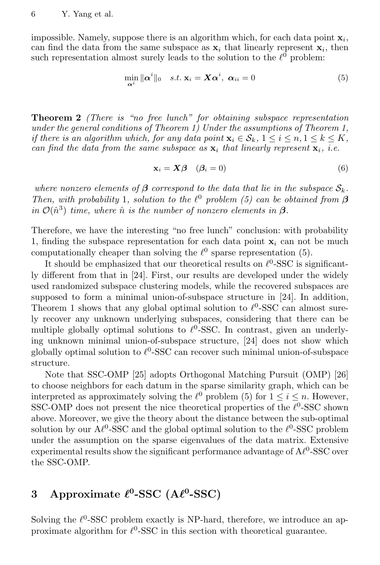impossible. Namely, suppose there is an algorithm which, for each data point **x***<sup>i</sup>* , can find the data from the same subspace as  $\mathbf{x}_i$  that linearly represent  $\mathbf{x}_i$ , then such representation almost surely leads to the solution to the  $\ell^0$  problem:

$$
\min_{\alpha^i} \|\alpha^i\|_0 \quad s.t. \; \mathbf{x}_i = \mathbf{X}\alpha^i, \; \alpha_{ii} = 0 \tag{5}
$$

**Theorem 2** *(There is "no free lunch" for obtaining subspace representation under the general conditions of Theorem 1) Under the assumptions of Theorem 1, if there is an algorithm which, for any data point*  $\mathbf{x}_i \in \mathcal{S}_k$ ,  $1 \leq i \leq n, 1 \leq k \leq K$ , *can find the data from the same subspace as*  $\mathbf{x}_i$  *that linearly represent*  $\mathbf{x}_i$ *, i.e.* 

$$
\mathbf{x}_i = \mathbf{X}\boldsymbol{\beta} \quad (\boldsymbol{\beta}_i = 0) \tag{6}
$$

*where nonzero elements of*  $\beta$  *correspond to the data that lie in the subspace*  $S_k$ *. Then, with probability* 1*, solution to the*  $\ell^0$  *problem* (5) can be obtained from  $\beta$  $in \mathcal{O}(\hat{n}^3)$  *time, where*  $\hat{n}$  *is the number of nonzero elements in*  $\beta$ *.* 

Therefore, we have the interesting "no free lunch" conclusion: with probability 1, finding the subspace representation for each data point  $\mathbf{x}_i$  can not be much computationally cheaper than solving the  $\ell^0$  sparse representation (5).

It should be emphasized that our theoretical results on  $\ell$ <sup>0</sup>-SSC is significantly different from that in [24]. First, our results are developed under the widely used randomized subspace clustering models, while the recovered subspaces are supposed to form a minimal union-of-subspace structure in [24]. In addition, Theorem 1 shows that any global optimal solution to  $\ell^0$ -SSC can almost surely recover any unknown underlying subspaces, considering that there can be multiple globally optimal solutions to  $\ell$ <sup>0</sup>-SSC. In contrast, given an underlying unknown minimal union-of-subspace structure, [24] does not show which globally optimal solution to  $\ell$ <sup>0</sup>-SSC can recover such minimal union-of-subspace structure.

Note that SSC-OMP [25] adopts Orthogonal Matching Pursuit (OMP) [26] to choose neighbors for each datum in the sparse similarity graph, which can be interpreted as approximately solving the  $\ell^0$  problem (5) for  $1 \leq i \leq n$ . However, SSC-OMP does not present the nice theoretical properties of the  $\ell^0$ -SSC shown above. Moreover, we give the theory about the distance between the sub-optimal solution by our  $A\ell^0$ -SSC and the global optimal solution to the  $\ell^0$ -SSC problem under the assumption on the sparse eigenvalues of the data matrix. Extensive experimental results show the significant performance advantage of  $A\ell^0$ -SSC over the SSC-OMP.

# **3** Approximate  $\ell^0$ -SSC (A $\ell^0$ -SSC)

Solving the  $\ell$ <sup>0</sup>-SSC problem exactly is NP-hard, therefore, we introduce an approximate algorithm for  $\ell^0$ -SSC in this section with theoretical guarantee.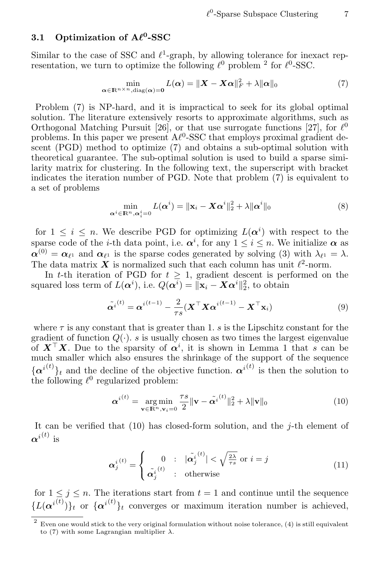### **3.1 Optimization of A***ℓ* **0 -SSC**

Similar to the case of SSC and  $\ell^1$ -graph, by allowing tolerance for inexact representation, we turn to optimize the following  $\ell^0$  problem <sup>2</sup> for  $\ell^0$ -SSC.

$$
\min_{\alpha \in \mathbb{R}^{n \times n}, \text{diag}(\alpha) = 0} L(\alpha) = \| \boldsymbol{X} - \boldsymbol{X}\alpha \|_{F}^{2} + \lambda \|\alpha\|_{0}
$$
(7)

Problem (7) is NP-hard, and it is impractical to seek for its global optimal solution. The literature extensively resorts to approximate algorithms, such as Orthogonal Matching Pursuit [26], or that use surrogate functions [27], for  $\ell^0$ problems. In this paper we present  $A\ell^0$ -SSC that employs proximal gradient descent (PGD) method to optimize (7) and obtains a sub-optimal solution with theoretical guarantee. The sub-optimal solution is used to build a sparse similarity matrix for clustering. In the following text, the superscript with bracket indicates the iteration number of PGD. Note that problem (7) is equivalent to a set of problems

$$
\min_{\alpha^i \in \mathbb{R}^n, \alpha_i^i = 0} L(\alpha^i) = \|\mathbf{x}_i - \mathbf{X}\alpha^i\|_2^2 + \lambda \|\alpha^i\|_0
$$
\n(8)

for  $1 \leq i \leq n$ . We describe PGD for optimizing  $L(\alpha^i)$  with respect to the sparse code of the *i*-th data point, i.e.  $\alpha^i$ , for any  $1 \leq i \leq n$ . We initialize  $\alpha$  as  $\alpha^{(0)} = \alpha_{\ell^1}$  and  $\alpha_{\ell^1}$  is the sparse codes generated by solving (3) with  $\lambda_{\ell^1} = \lambda$ . The data matrix  $X$  is normalized such that each column has unit  $\ell^2$ -norm.

In *t*-th iteration of PGD for  $t \geq 1$ , gradient descent is performed on the squared loss term of  $L(\alpha^i)$ , i.e.  $Q(\alpha^i) = ||\mathbf{x}_i - \mathbf{X}\alpha^i||_2^2$ , to obtain

$$
\tilde{\boldsymbol{\alpha}^{i}}^{(t)} = \boldsymbol{\alpha}^{i(t-1)} - \frac{2}{\tau s} (\boldsymbol{X}^\top \boldsymbol{X} \boldsymbol{\alpha}^{i(t-1)} - \boldsymbol{X}^\top \mathbf{x}_i)
$$
\n(9)

where  $\tau$  is any constant that is greater than 1. *s* is the Lipschitz constant for the gradient of function  $Q(\cdot)$ , *s* is usually chosen as two times the largest eigenvalue of  $X^{\top}X$ . Due to the sparsity of  $\alpha^{i}$ , it is shown in Lemma 1 that *s* can be much smaller which also ensures the shrinkage of the support of the sequence  ${a^{i(t)}}_t$  and the decline of the objective function.  ${\alpha^{i(t)}}$  is then the solution to the following  $\ell^0$  regularized problem:

$$
\boldsymbol{\alpha}^{i(t)} = \underset{\mathbf{v} \in \mathbb{R}^n, \mathbf{v}_i = 0}{\arg \min} \frac{\tau s}{2} \|\mathbf{v} - \tilde{\boldsymbol{\alpha}}^{i(t)}\|_2^2 + \lambda \|\mathbf{v}\|_0 \tag{10}
$$

It can be verified that (10) has closed-form solution, and the *j*-th element of  $\alpha^{i(t)}$  is

$$
\boldsymbol{\alpha}_j^{i(t)} = \begin{cases} 0 & : \ |\tilde{\boldsymbol{\alpha}}_j^{i(t)}| < \sqrt{\frac{2\lambda}{\tau s}} \text{ or } i = j \\ \tilde{\boldsymbol{\alpha}}_j^{i(t)} & : \text{ otherwise} \end{cases} \tag{11}
$$

for  $1 \leq i \leq n$ . The iterations start from  $t = 1$  and continue until the sequence  ${L(\alpha^{i^{(t)}})}_t$  or  ${\alpha^{i^{(t)}}}_t$  converges or maximum iteration number is achieved,

<sup>2</sup> Even one would stick to the very original formulation without noise tolerance, (4) is still equivalent to (7) with some Lagrangian multiplier *λ*.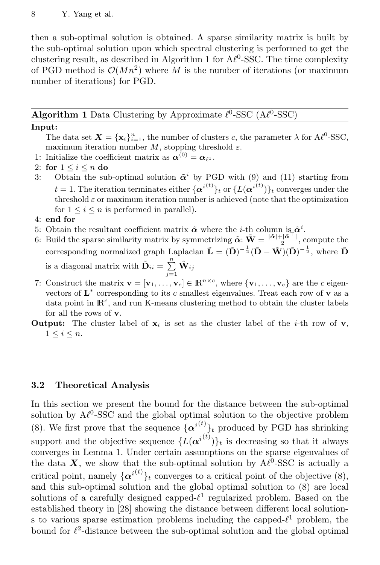then a sub-optimal solution is obtained. A sparse similarity matrix is built by the sub-optimal solution upon which spectral clustering is performed to get the clustering result, as described in Algorithm 1 for  $A\ell^0$ -SSC. The time complexity of PGD method is  $\mathcal{O}(Mn^2)$  where M is the number of iterations (or maximum number of iterations) for PGD.

### **Algorithm 1** Data Clustering by Approximate  $\ell^0$ -SSC ( $A\ell^0$ -SSC)

#### **Input:**

The data set  $\mathbf{X} = {\mathbf{x}_i}_{i=1}^n$ , the number of clusters *c*, the parameter  $\lambda$  for  $A\ell^0$ -SSC, maximum iteration number  $M$ , stopping threshold  $\varepsilon$ .

- 1: Initialize the coefficient matrix as  $\alpha^{(0)} = \alpha_{\ell^1}$ .
- 2: **for** 1 *≤ i ≤ n* **do**
- 3: Obtain the sub-optimal solution  $\tilde{\alpha}^i$  by PGD with (9) and (11) starting from *t* = 1. The iteration terminates either  $\{\alpha^{i(t)}\}_t$  or  $\{L(\alpha^{i(t)})\}_t$  converges under the threshold *ε* or maximum iteration number is achieved (note that the optimization for  $1 \leq i \leq n$  is performed in parallel).
- 4: **end for**
- 5: Obtain the resultant coefficient matrix  $\tilde{\boldsymbol{\alpha}}$  where the *i*-th column is  $\tilde{\boldsymbol{\alpha}}^i$ .
- 6: Build the sparse similarity matrix by symmetrizing  $\tilde{\alpha}$ :  $\tilde{W} = \frac{|\tilde{\alpha}| + |\tilde{\alpha}^{\top}|}{2}$ , compute the corresponding normalized graph Laplacian  $\tilde{\mathbf{L}} = (\tilde{\mathbf{D}})^{-\frac{1}{2}} (\tilde{\mathbf{D}} - \tilde{\mathbf{W}})(\tilde{\mathbf{D}})^{-\frac{1}{2}}$ , where  $\tilde{\mathbf{D}}$ is a diagonal matrix with  $\tilde{\mathbf{D}}_{ii} = \sum^{n}$  $\sum\limits_{j=1}^n \tilde{\mathbf{W}}_{ij}$
- 7: Construct the matrix  $\mathbf{v} = [\mathbf{v}_1, \dots, \mathbf{v}_c] \in \mathbb{R}^{n \times c}$ , where  $\{\mathbf{v}_1, \dots, \mathbf{v}_c\}$  are the *c* eigenvectors of **L** *∗* corresponding to its *c* smallest eigenvalues. Treat each row of **v** as a data point in  $\mathbb{R}^c$ , and run K-means clustering method to obtain the cluster labels for all the rows of **v**.
- **Output:** The cluster label of  $\mathbf{x}_i$  is set as the cluster label of the *i*-th row of **v**,  $1 \leq i \leq n$ .

#### **3.2 Theoretical Analysis**

In this section we present the bound for the distance between the sub-optimal solution by  $A\ell^0$ -SSC and the global optimal solution to the objective problem (8). We first prove that the sequence  $\{\alpha^{i(t)}\}_t$  produced by PGD has shrinking support and the objective sequence  $\{L(\alpha^{i(t)})\}_t$  is decreasing so that it always converges in Lemma 1. Under certain assumptions on the sparse eigenvalues of the data  $\boldsymbol{X}$ , we show that the sub-optimal solution by  $A\ell^0$ -SSC is actually a critical point, namely  $\{\alpha^{i(t)}\}_t$  converges to a critical point of the objective (8), and this sub-optimal solution and the global optimal solution to (8) are local solutions of a carefully designed capped-*ℓ* 1 regularized problem. Based on the established theory in [28] showing the distance between different local solutions to various sparse estimation problems including the capped-*ℓ* <sup>1</sup> problem, the bound for  $\ell^2$ -distance between the sub-optimal solution and the global optimal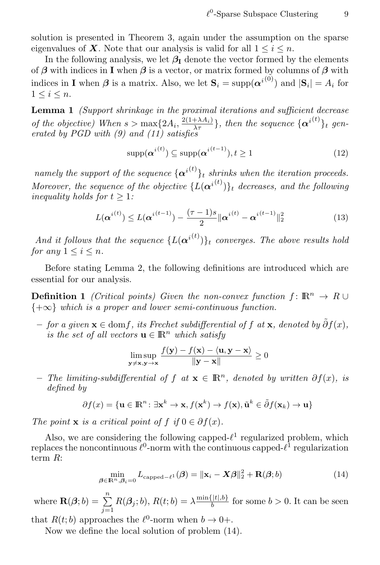solution is presented in Theorem 3, again under the assumption on the sparse eigenvalues of  $X$ . Note that our analysis is valid for all  $1 \leq i \leq n$ .

In the following analysis, we let  $\beta_I$  denote the vector formed by the elements of *β* with indices in **I** when *β* is a vector, or matrix formed by columns of *β* with indices in **I** when  $\beta$  is a matrix. Also, we let  $\mathbf{S}_i = \text{supp}(\boldsymbol{\alpha}^{i(0)})$  and  $|\mathbf{S}_i| = A_i$  for 1 *≤ i ≤ n*.

**Lemma 1** *(Support shrinkage in the proximal iterations and sufficient decrease of the objective)* When  $s > \max\{2A_i, \frac{2(1+\lambda A_i)}{\lambda \tau}\}$ , then the sequence  $\{\alpha^{i(t)}\}_t$  gen*erated by PGD with (9) and (11) satisfies*

$$
\text{supp}(\boldsymbol{\alpha}^{i^{(t)}}) \subseteq \text{supp}(\boldsymbol{\alpha}^{i^{(t-1)}}), t \ge 1
$$
\n(12)

*namely the support of the sequence*  $\{\alpha^{i(t)}\}_t$  *shrinks when the iteration proceeds. Moreover, the sequence of the objective*  $\{L(\boldsymbol{\alpha}^{i(t)})\}_t$  *decreases, and the following inequality holds for*  $t > 1$ *:* 

$$
L(\boldsymbol{\alpha}^{i(t)}) \le L(\boldsymbol{\alpha}^{i(t-1)}) - \frac{(\tau - 1)s}{2} ||\boldsymbol{\alpha}^{i(t)} - \boldsymbol{\alpha}^{i(t-1)}||_2^2
$$
 (13)

*And it follows that the sequence*  $\{L(\boldsymbol{\alpha}^{i^{(t)}})\}_t$  *converges. The above results hold for any*  $1 \leq i \leq n$ *.* 

Before stating Lemma 2, the following definitions are introduced which are essential for our analysis.

**Definition 1** *(Critical points)* Given the non-convex function  $f: \mathbb{R}^n \to \mathbb{R} \cup \mathbb{R}$ *{*+*∞} which is a proper and lower semi-continuous function.*

 $\tilde{\theta}$  *− for a given*  $\mathbf{x} \in \text{dom } f$ *, its Frechet subdifferential of*  $f$  *at*  $\mathbf{x}$ *, denoted by*  $\tilde{\theta} f(x)$ *, is the set of all vectors*  $\mathbf{u} \in \mathbb{R}^n$  *which satisfy* 

$$
\limsup_{\mathbf{y}\neq\mathbf{x},\mathbf{y}\to\mathbf{x}}\frac{f(\mathbf{y})-f(\mathbf{x})-\langle\mathbf{u},\mathbf{y}-\mathbf{x}\rangle}{\|\mathbf{y}-\mathbf{x}\|}\geq 0
$$

**–** *The limiting-subdifferential of f at* **x** *∈* IR*<sup>n</sup>, denoted by written ∂f*(*x*)*, is defined by*

$$
\partial f(x) = \{ \mathbf{u} \in \mathbb{R}^n \colon \exists \mathbf{x}^k \to \mathbf{x}, f(\mathbf{x}^k) \to f(\mathbf{x}), \tilde{\mathbf{u}}^k \in \tilde{\partial} f(\mathbf{x}_k) \to \mathbf{u} \}
$$

*The point* **x** *is a critical point of*  $f$  *if*  $0 \in \partial f(x)$ *.* 

Also, we are considering the following capped- $\ell$ <sup>1</sup> regularized problem, which replaces the noncontinuous  $\ell^0$ -norm with the continuous capped- $\ell^1$  regularization term *R*:

$$
\min_{\boldsymbol{\beta} \in \mathbb{R}^n, \beta_i = 0} L_{\text{capped-}\ell^1}(\boldsymbol{\beta}) = \|\mathbf{x}_i - \mathbf{X}\boldsymbol{\beta}\|_2^2 + \mathbf{R}(\boldsymbol{\beta}; b)
$$
(14)

where  $\mathbf{R}(\boldsymbol{\beta};b) = \sum_{n=1}^{n}$  $\sum_{j=1}^{n} R(\beta_j; b), R(t; b) = \lambda \frac{\min\{|t|, b\}}{b}$  $\frac{f(t), b}{b}$  for some  $b > 0$ . It can be seen

that  $R(t; b)$  approaches the  $\ell^0$ -norm when  $b \to 0+$ .

Now we define the local solution of problem (14).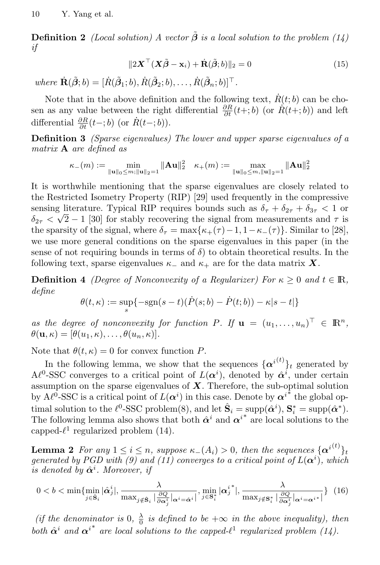**Definition 2** *(Local solution)* A vector  $\tilde{\boldsymbol{\beta}}$  *is a local solution to the problem* (14) *if*

$$
||2\mathbf{X}^{\top}(\mathbf{X}\tilde{\boldsymbol{\beta}} - \mathbf{x}_i) + \dot{\mathbf{R}}(\tilde{\boldsymbol{\beta}};b)||_2 = 0
$$
\n(15)

 $where \ \mathbf{R}(\tilde{\boldsymbol{\beta}};b) = [\dot{R}(\tilde{\boldsymbol{\beta}}_1;b), \dot{R}(\tilde{\boldsymbol{\beta}}_2;b), \dots, \dot{R}(\tilde{\boldsymbol{\beta}}_n;b)]^{\top}.$ 

Note that in the above definition and the following text,  $\dot{R}(t; b)$  can be chosen as any value between the right differential  $\frac{\partial R}{\partial t}(t+;b)$  (or  $R(t+;b)$ ) and left differential  $\frac{\partial R}{\partial t}(t-;b)$  (or  $\dot{R}(t-;b)$ ).

**Definition 3** *(Sparse eigenvalues) The lower and upper sparse eigenvalues of a matrix* **A** *are defined as*

$$
\kappa_{-}(m):=\min_{\|\mathbf{u}\|_{0}\leq m;\|\mathbf{u}\|_{2}=1}\|\mathbf{A}\mathbf{u}\|_{2}^{2}\quad \kappa_{+}(m):=\max_{\|\mathbf{u}\|_{0}\leq m,\|\mathbf{u}\|_{2}=1}\|\mathbf{A}\mathbf{u}\|_{2}^{2}
$$

It is worthwhile mentioning that the sparse eigenvalues are closely related to the Restricted Isometry Property (RIP) [29] used frequently in the compressive sensing literature. Typical RIP requires bounds such as  $\delta_{\tau} + \delta_{2\tau} + \delta_{3\tau} < 1$  or  $\delta_{2\tau}$  *<*  $\sqrt{2}$  *−* 1 [30] for stably recovering the signal from measurements and  $\tau$  is the sparsity of the signal, where  $\delta_{\tau} = \max{\kappa_+(\tau) - 1, 1 - \kappa_-(\tau)}$ . Similar to [28], we use more general conditions on the sparse eigenvalues in this paper (in the sense of not requiring bounds in terms of  $\delta$ ) to obtain theoretical results. In the following text, sparse eigenvalues  $\kappa$ <sub>−</sub> and  $\kappa$ <sub>+</sub> are for the data matrix **X**.

**Definition 4** *(Degree of Nonconvexity of a Regularizer) For*  $\kappa \geq 0$  *and*  $t \in \mathbb{R}$ *, define*

$$
\theta(t,\kappa) := \sup_{s} \{-\text{sgn}(s-t)(\dot{P}(s;b) - \dot{P}(t;b)) - \kappa|s-t|\}
$$

*as the degree of nonconvexity for function*  $P$ *. If*  $\mathbf{u} = (u_1, \dots, u_n)^\top \in \mathbb{R}^n$ ,  $\theta(\mathbf{u}, \kappa) = [\theta(u_1, \kappa), \dots, \theta(u_n, \kappa)].$ 

Note that  $\theta(t,\kappa) = 0$  for convex function *P*.

In the following lemma, we show that the sequences  $\{\alpha^{i(t)}\}_t$  generated by  $A\ell^0$ -SSC converges to a critical point of  $L(\alpha^i)$ , denoted by  $\hat{\alpha}^i$ , under certain assumption on the sparse eigenvalues of *X*. Therefore, the sub-optimal solution by  $A\ell^{\hat{0}}$ -SSC is a critical point of  $L(\alpha^i)$  in this case. Denote by  $\alpha^{i^*}$  the global optimal solution to the  $\ell^0$ -SSC problem(8), and let  $\hat{\mathbf{S}}_i = \text{supp}(\hat{\boldsymbol{\alpha}}^i), \mathbf{S}_i^* = \text{supp}(\hat{\boldsymbol{\alpha}}^*)$ . The following lemma also shows that both  $\hat{\alpha}^i$  and  $\alpha^{i^*}$  are local solutions to the capped- $\ell^1$  regularized problem (14).

**Lemma 2** *For any*  $1 \leq i \leq n$ *, suppose*  $\kappa$ *−*( $A_i$ ) > 0*, then the sequences*  $\{\boldsymbol{\alpha}^{i(t)}\}_{t}$ *generated by PGD with (9) and (11) converges to a critical point of*  $L(\boldsymbol{\alpha}^i)$ , which *is denoted by*  $\hat{\boldsymbol{\alpha}}^i$ *. Moreover, if* 

$$
0 < b < \min\{\min_{j \in \hat{\mathbf{S}}_i} |\hat{\alpha}_j^i|, \frac{\lambda}{\max_{j \notin \hat{\mathbf{S}}_i} |\frac{\partial Q}{\partial \alpha_j^i}|_{\alpha^i = \hat{\alpha}^i}|}, \min_{j \in \mathbf{S}_i^*} |\alpha_j^{i*}|, \frac{\lambda}{\max_{j \notin \mathbf{S}_i^*} |\frac{\partial Q}{\partial \alpha_j^i}|_{\alpha^i = \alpha^{i*}}|}\} (16)
$$

*(if the denominator is* 0,  $\frac{\lambda}{0}$  *is defined to be*  $+\infty$  *in the above inequality), then both*  $\hat{\alpha}^i$  and  $\alpha^{i*}$  are local solutions to the capped- $\ell^1$  regularized problem (14).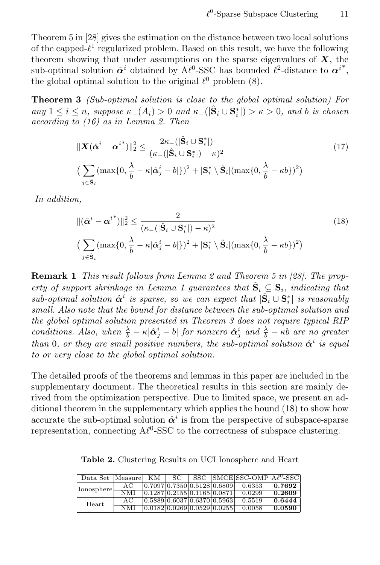Theorem 5 in [28] gives the estimation on the distance between two local solutions of the capped- $\ell^1$  regularized problem. Based on this result, we have the following theorem showing that under assumptions on the sparse eigenvalues of *X*, the sub-optimal solution  $\hat{\alpha}^i$  obtained by  $A\ell^0$ -SSC has bounded  $\ell^2$ -distance to  $\alpha^{i^*}$ , the global optimal solution to the original  $\ell^0$  problem  $(8)$ .

**Theorem 3** *(Sub-optimal solution is close to the global optimal solution) For* any  $1 \leq i \leq n$ , suppose  $\kappa_-(A_i) > 0$  and  $\kappa_-(|\hat{S}_i \cup S_i^*|) > \kappa > 0$ , and b is chosen *according to (16) as in Lemma 2. Then*

$$
\|\mathbf{X}(\hat{\alpha}^{i} - {\alpha}^{i^{*}})\|_{2}^{2} \leq \frac{2\kappa_{-}(|\hat{\mathbf{S}}_{i} \cup \mathbf{S}_{i}^{*}|)}{(\kappa_{-}(|\hat{\mathbf{S}}_{i} \cup \mathbf{S}_{i}^{*}|) - \kappa)^{2}}
$$
\n
$$
\left(\sum_{j \in \hat{\mathbf{S}}_{i}} (\max\{0, \frac{\lambda}{b} - \kappa|\hat{\alpha}_{j}^{i} - b|\})^{2} + |\mathbf{S}_{i}^{*} \setminus \hat{\mathbf{S}}_{i}| (\max\{0, \frac{\lambda}{b} - \kappa b\})^{2}\right)
$$
\n(17)

*In addition,*

$$
\begin{aligned} \|\left(\hat{\alpha}^{i} - \alpha^{i^{*}}\right)\|_{2}^{2} &\leq \frac{2}{\left(\kappa_{-}\left(\left|\hat{\mathbf{S}}_{i} \cup \mathbf{S}_{i}^{*}\right|\right) - \kappa\right)^{2}}\\ &\left(\sum_{j \in \hat{\mathbf{S}}_{i}} \left(\max\{0, \frac{\lambda}{b} - \kappa|\hat{\alpha}_{j}^{i} - b|\}\right)^{2} + \left|\mathbf{S}_{i}^{*} \setminus \hat{\mathbf{S}}_{i}\right| \left(\max\{0, \frac{\lambda}{b} - \kappa b\}\right)^{2}\right) \end{aligned} \tag{18}
$$

**Remark 1** *This result follows from Lemma 2 and Theorem 5 in [28]. The property of support shrinkage in Lemma 1 guarantees that*  $\hat{S}_i \subseteq S_i$ *, indicating that*  $sub-optimal$  solution  $\hat{\alpha}^i$  is sparse, so we can expect that  $|\hat{S}_i \cup S_i^*|$  is reasonably *small. Also note that the bound for distance between the sub-optimal solution and the global optimal solution presented in Theorem 3 does not require typical RIP* conditions. Also, when  $\frac{\lambda}{b} - \kappa |\hat{\alpha}_j^i - b|$  for nonzero  $\hat{\alpha}_j^i$  and  $\frac{\lambda}{b} - \kappa b$  are no greater *than* 0, or they are small positive numbers, the sub-optimal solution  $\hat{\alpha}^i$  is equal *to or very close to the global optimal solution.*

The detailed proofs of the theorems and lemmas in this paper are included in the supplementary document. The theoretical results in this section are mainly derived from the optimization perspective. Due to limited space, we present an additional theorem in the supplementary which applies the bound (18) to show how accurate the sub-optimal solution  $\hat{\alpha}^i$  is from the perspective of subspace-sparse representation, connecting  $A<sup>0</sup>$ -SSC to the correctness of subspace clustering.

| Data Set   Measure |            | <b>KM</b> | -SC - |                                  | SSC SMCESSC-OMP $A\ell^0$ -SSC |        |
|--------------------|------------|-----------|-------|----------------------------------|--------------------------------|--------|
| Ionosphere-        | AC         |           |       | 0.7097 0.7350 0.5128 0.6809      | 0.6353                         | 0.7692 |
|                    | <b>NMI</b> |           |       | [0.1287]0.2155]0.1165]0.0871     | 0.0299                         | 0.2609 |
| Heart              | AC         |           |       | [0.5889] 0.6037] 0.6370] 0.5963  | 0.5519                         | 0.6444 |
|                    | NMI        |           |       | [0.0182] 0.0269] 0.0529] 0.0255] | 0.0058                         | 0.0590 |

**Table 2.** Clustering Results on UCI Ionosphere and Heart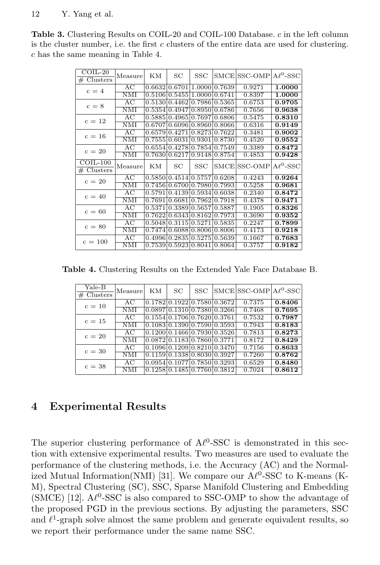**Table 3.** Clustering Results on COIL-20 and COIL-100 Database. *c* in the left column is the cluster number, i.e. the first *c* clusters of the entire data are used for clustering. *c* has the same meaning in Table 4.

| $COLL-20$<br>Clusters<br># | Measure      | ΚM     | SC                   | SSC                  |        | SMCE SSC-OMP | $A\ell^0$ -SSC |
|----------------------------|--------------|--------|----------------------|----------------------|--------|--------------|----------------|
| $c = 4$                    | AC           | 0.6632 |                      | $0.6701$ 1.0000      | 0.7639 | 0.9271       | 1.0000         |
|                            | <b>NMI</b>   | 0.5106 | 0.5455 1.0000        |                      | 0.6741 | 0.8397       | 1.0000         |
|                            | AC           | 0.5130 |                      | $0.4462 \mid 0.7986$ | 0.5365 | 0.6753       | 0.9705         |
| $c = 8$                    | NMI          | 0.5354 | 0.4947 0.8950        |                      | 0.6786 | 0.7656       | 0.9638         |
| $c = 12$                   | AC           | 0.5885 | 0.496510.7697        |                      | 0.6806 | 0.5475       | 0.8310         |
|                            | <b>NMI</b>   | 0.6707 | 0.609610.8960        |                      | 0.8066 | 0.6316       | 0.9149         |
| $c = 16$                   | AC           | 0.6579 |                      | 0.4271 0.8273        | 0.7622 | 0.3481       | 0.9002         |
|                            | NMI          | 0.7555 | 0.603110.9301        |                      | 0.8730 | 0.4520       | 0.9552         |
| $c = 20$                   | AC           | 0.6554 |                      | 0.4278 0.7854        | 0.7549 | 0.3389       | 0.8472         |
|                            | <b>NMI</b>   | 0.7630 |                      | 0.6217] 0.9148       | 0.8754 | 0.4853       | 0.9428         |
|                            |              |        |                      |                      |        |              |                |
| $COLL-100$                 |              |        |                      |                      |        |              |                |
| Clusters<br>#              | Measurel     | ΚM     | SC                   | SSC                  |        | SMCE SSC-OMP | $A\ell^0$ -SSC |
|                            | AC           |        | 0.5850 0.4514 0.5757 |                      | 0.6208 | 0.4243       | 0.9264         |
| $c = 20$                   | NMI          | 0.7456 |                      | 0.670010.7980        | 0.7993 | 0.5258       | 0.9681         |
|                            | AC           | 0.5791 |                      | 0.4139 0.5934        | 0.6038 | 0.2340       | 0.8472         |
| $c = 40$                   | <b>NMI</b>   | 0.7691 |                      | 0.6681 0.7962        | 0.7918 | 0.4378       | 0.9471         |
|                            | AC           | 0.5371 |                      | 0.3389 0.5657        | 0.5887 | 0.1905       | 0.8326         |
| $c = 60$                   | $_{\rm NMI}$ | 0.7622 | $0.6343 \, 0.8162$   |                      | 0.7973 | 0.3690       | 0.9352         |
|                            | AC           | 0.5048 | 0.3115 0.5271        |                      | 0.5835 | 0.2247       | 0.7899         |
| $c = 80$                   | <b>NMI</b>   | 0.7474 |                      | 0.6088 0.8006        | 0.8006 | 0.4173       | 0.9218         |
| $c = 100$                  | AC           | 0.4996 | $0.2835 \mid 0.5275$ |                      | 0.5639 | 0.1667       | 0.7683         |

**Table 4.** Clustering Results on the Extended Yale Face Database B.

| $\operatorname{Yale-B}$<br># Clusters | Measure    | <b>KM</b> | SC                           | <b>SSC</b> |                                                    | $ SMCE SSC-OMP A\ell^0-SSC $ |        |
|---------------------------------------|------------|-----------|------------------------------|------------|----------------------------------------------------|------------------------------|--------|
| $c = 10$                              | AC         |           |                              |            | 0.1782 0.1922 0.7580 0.3672                        | 0.7375                       | 0.8406 |
|                                       | NMI        |           |                              |            | 0.0897 0.1310 0.7380 0.3266                        | 0.7468                       | 0.7695 |
| $c = 15$                              | AC         |           | 0.1554 0.1706 0.7620 0.3761  |            |                                                    | 0.7532                       | 0.7987 |
|                                       | NMI        |           |                              |            | [0.1083]0.1390]0.7590]0.3593                       | 0.7943                       | 0.8183 |
| $c = 20$                              | AC         |           |                              |            | 0.1200 0.1466 0.7930 0.3526                        | 0.7813                       | 0.8273 |
|                                       | NMI        |           | 10.087210.118310.786010.3771 |            |                                                    | 0.8172                       | 0.8429 |
| $c = 30$                              | AC         |           |                              |            | [0.1096] 0.1209] 0.8210] 0.3470                    | 0.7156                       | 0.8633 |
|                                       | NΜI        |           |                              |            | 0.1159 0.1338 0.8030 0.3927                        | 0.7260                       | 0.8762 |
| $c = 38$                              | AC         |           |                              |            | $0.0954 \times 0.1077 \times 0.7850 \times 0.3293$ | 0.6529                       | 0.8480 |
|                                       | <b>NMI</b> |           | 0.1258 0.1485 0.7760 0.3812  |            |                                                    | 0.7024                       | 0.8612 |

# **4 Experimental Results**

The superior clustering performance of  $A\ell^0$ -SSC is demonstrated in this section with extensive experimental results. Two measures are used to evaluate the performance of the clustering methods, i.e. the Accuracy (AC) and the Normalized Mutual Information(NMI) [31]. We compare our Al<sup>0</sup>-SSC to K-means (K-M), Spectral Clustering (SC), SSC, Sparse Manifold Clustering and Embedding  $(SMCE)$  [12].  $A\ell^0$ -SSC is also compared to SSC-OMP to show the advantage of the proposed PGD in the previous sections. By adjusting the parameters, SSC and  $\ell^1$ -graph solve almost the same problem and generate equivalent results, so we report their performance under the same name SSC.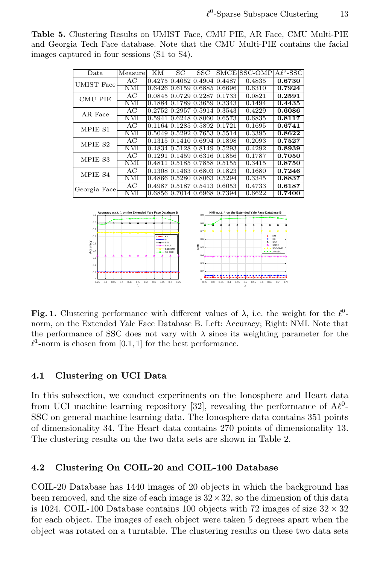**Table 5.** Clustering Results on UMIST Face, CMU PIE, AR Face, CMU Multi-PIE and Georgia Tech Face database. Note that the CMU Multi-PIE contains the facial images captured in four sessions (S1 to S4).

| Data                                                                                                                        | Measure          | KМ     | SС     | $_{\rm SSC}$         |        | SMCE SSC-OMP | $A\ell^0$ -SSC |  |
|-----------------------------------------------------------------------------------------------------------------------------|------------------|--------|--------|----------------------|--------|--------------|----------------|--|
| <b>UMIST</b> Face                                                                                                           | AC               | 0.4275 | 0.4052 | 0.4904               | 0.4487 | 0.4835       | 0.6730         |  |
|                                                                                                                             | NMI              | 0.6426 | 0.6159 | 0.6885               | 0.6696 | 0.6310       | 0.7924         |  |
| <b>CMU PIE</b>                                                                                                              | АC               | 0.0845 | 0.0729 | 0.2287               | 0.1733 | 0.0821       | 0.2591         |  |
|                                                                                                                             | NMI              | 0.1884 | 0.1789 | 0.3659               | 0.3343 | 0.1494       | 0.4435         |  |
| AR Face                                                                                                                     | AС               | 0.2752 |        | 0.295710.5914        | 0.3543 | 0.4229       | 0.6086         |  |
|                                                                                                                             | NMI              | 0.5941 |        | 0.6248 0.8060 0.6573 |        | 0.6835       | 0.8117         |  |
| MPIE S1                                                                                                                     | AC               | 0.1164 |        | 0.128510.58921       | 0.1721 | 0.1695       | 0.6741         |  |
|                                                                                                                             | NMI              | 0.5049 |        | 0.5292 0.7653        | 0.5514 | 0.3395       | 0.8622         |  |
| MPIE S2                                                                                                                     | АC               | 0.1315 | 0.1410 | 0.6994               | 0.1898 | 0.2093       | 0.7527         |  |
|                                                                                                                             | NMI              | 0.4834 | 0.5128 | 0.8149               | 0.5293 | 0.4292       | 0.8939         |  |
| MPIE S3                                                                                                                     | AC               | 0.1291 |        | 0.1459 0.6316        | 0.1856 | 0.1787       | 0.7050         |  |
|                                                                                                                             | NMI              | 0.4811 |        | 0.5185 0.7858 0.5155 |        | 0.3415       | 0.8750         |  |
| MPIE S4                                                                                                                     | AC               | 0.1308 |        | 0.1463 0.6803        | 0.1823 | 0.1680       | 0.7246         |  |
|                                                                                                                             | NMI              | 0.4866 |        | 0.528010.80631       | 0.5294 | 0.3345       | 0.8837         |  |
| Georgia Face                                                                                                                | AC               | 0.4987 |        | 0.5187 0.5413        | 0.6053 | 0.4733       | 0.6187         |  |
|                                                                                                                             | NMI              | 0.6856 | 0.7014 | 0.6968               | 0.7394 | 0.6622       | 0.7400         |  |
|                                                                                                                             |                  |        |        |                      |        |              |                |  |
| Accuracy w.r.t. $\lambda$ on the Extended Yale Face Database B<br>NMI w.r.t. $\lambda$ on the Extended Yale Face Database B |                  |        |        |                      |        |              |                |  |
| 0.91                                                                                                                        | 0.9 <sub>0</sub> |        |        |                      |        |              |                |  |



**Fig. 1.** Clustering performance with different values of  $\lambda$ , i.e. the weight for the  $\ell^0$ norm, on the Extended Yale Face Database B. Left: Accuracy; Right: NMI. Note that the performance of SSC does not vary with  $\lambda$  since its weighting parameter for the  $\ell^1$ -norm is chosen from [0.1, 1] for the best performance.

#### **4.1 Clustering on UCI Data**

In this subsection, we conduct experiments on the Ionosphere and Heart data from UCI machine learning repository [32], revealing the performance of  $A\ell^0$ -SSC on general machine learning data. The Ionosphere data contains 351 points of dimensionality 34. The Heart data contains 270 points of dimensionality 13. The clustering results on the two data sets are shown in Table 2.

### **4.2 Clustering On COIL-20 and COIL-100 Database**

COIL-20 Database has 1440 images of 20 objects in which the background has been removed, and the size of each image is 32*×*32, so the dimension of this data is 1024. COIL-100 Database contains 100 objects with 72 images of size 32 *×* 32 for each object. The images of each object were taken 5 degrees apart when the object was rotated on a turntable. The clustering results on these two data sets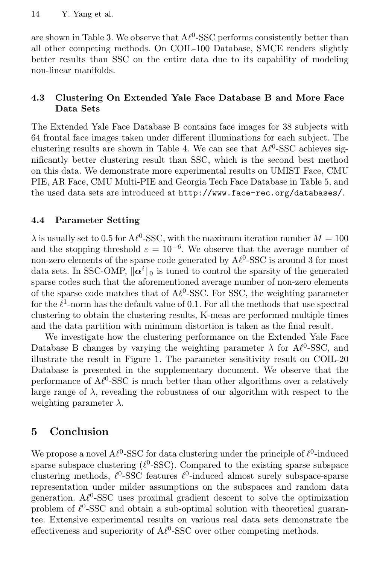are shown in Table 3. We observe that  $A\ell^0$ -SSC performs consistently better than all other competing methods. On COIL-100 Database, SMCE renders slightly better results than SSC on the entire data due to its capability of modeling non-linear manifolds.

### **4.3 Clustering On Extended Yale Face Database B and More Face Data Sets**

The Extended Yale Face Database B contains face images for 38 subjects with 64 frontal face images taken under different illuminations for each subject. The clustering results are shown in Table 4. We can see that  $A\ell^0$ -SSC achieves significantly better clustering result than SSC, which is the second best method on this data. We demonstrate more experimental results on UMIST Face, CMU PIE, AR Face, CMU Multi-PIE and Georgia Tech Face Database in Table 5, and the used data sets are introduced at http://www.face-rec.org/databases/.

### **4.4 Parameter Setting**

 $\lambda$  is usually set to 0.5 for  $A\ell^0$ -SSC, with the maximum iteration number  $M = 100$ and the stopping threshold  $\varepsilon = 10^{-6}$ . We observe that the average number of non-zero elements of the sparse code generated by  $A\ell^0$ -SSC is around 3 for most data sets. In SSC-OMP, *∥α<sup>i</sup>∥*<sup>0</sup> is tuned to control the sparsity of the generated sparse codes such that the aforementioned average number of non-zero elements of the sparse code matches that of  $A\ell^0$ -SSC. For SSC, the weighting parameter for the  $\ell^1$ -norm has the default value of 0.1. For all the methods that use spectral clustering to obtain the clustering results, K-meas are performed multiple times and the data partition with minimum distortion is taken as the final result.

We investigate how the clustering performance on the Extended Yale Face Database B changes by varying the weighting parameter  $\lambda$  for  $A\ell^0$ -SSC, and illustrate the result in Figure 1. The parameter sensitivity result on COIL-20 Database is presented in the supplementary document. We observe that the performance of  $A\ell^0$ -SSC is much better than other algorithms over a relatively large range of  $\lambda$ , revealing the robustness of our algorithm with respect to the weighting parameter *λ*.

# **5 Conclusion**

We propose a novel  $A\ell^0$ -SSC for data clustering under the principle of  $\ell^0$ -induced sparse subspace clustering  $(\ell^0\text{-SSC})$ . Compared to the existing sparse subspace clustering methods, *ℓ* 0 -SSC features *ℓ* 0 -induced almost surely subspace-sparse representation under milder assumptions on the subspaces and random data generation. A $\ell^0$ -SSC uses proximal gradient descent to solve the optimization problem of  $\ell^0$ -SSC and obtain a sub-optimal solution with theoretical guarantee. Extensive experimental results on various real data sets demonstrate the effectiveness and superiority of  $A\ell^0$ -SSC over other competing methods.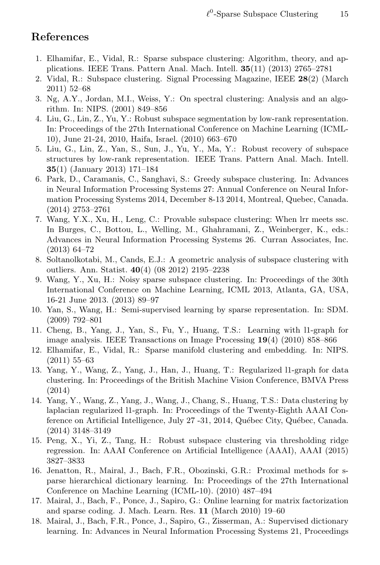## **References**

- 1. Elhamifar, E., Vidal, R.: Sparse subspace clustering: Algorithm, theory, and applications. IEEE Trans. Pattern Anal. Mach. Intell. **35**(11) (2013) 2765–2781
- 2. Vidal, R.: Subspace clustering. Signal Processing Magazine, IEEE **28**(2) (March 2011) 52–68
- 3. Ng, A.Y., Jordan, M.I., Weiss, Y.: On spectral clustering: Analysis and an algorithm. In: NIPS. (2001) 849–856
- 4. Liu, G., Lin, Z., Yu, Y.: Robust subspace segmentation by low-rank representation. In: Proceedings of the 27th International Conference on Machine Learning (ICML-10), June 21-24, 2010, Haifa, Israel. (2010) 663–670
- 5. Liu, G., Lin, Z., Yan, S., Sun, J., Yu, Y., Ma, Y.: Robust recovery of subspace structures by low-rank representation. IEEE Trans. Pattern Anal. Mach. Intell. **35**(1) (January 2013) 171–184
- 6. Park, D., Caramanis, C., Sanghavi, S.: Greedy subspace clustering. In: Advances in Neural Information Processing Systems 27: Annual Conference on Neural Information Processing Systems 2014, December 8-13 2014, Montreal, Quebec, Canada. (2014) 2753–2761
- 7. Wang, Y.X., Xu, H., Leng, C.: Provable subspace clustering: When lrr meets ssc. In Burges, C., Bottou, L., Welling, M., Ghahramani, Z., Weinberger, K., eds.: Advances in Neural Information Processing Systems 26. Curran Associates, Inc. (2013) 64–72
- 8. Soltanolkotabi, M., Cands, E.J.: A geometric analysis of subspace clustering with outliers. Ann. Statist. **40**(4) (08 2012) 2195–2238
- 9. Wang, Y., Xu, H.: Noisy sparse subspace clustering. In: Proceedings of the 30th International Conference on Machine Learning, ICML 2013, Atlanta, GA, USA, 16-21 June 2013. (2013) 89–97
- 10. Yan, S., Wang, H.: Semi-supervised learning by sparse representation. In: SDM. (2009) 792–801
- 11. Cheng, B., Yang, J., Yan, S., Fu, Y., Huang, T.S.: Learning with l1-graph for image analysis. IEEE Transactions on Image Processing **19**(4) (2010) 858–866
- 12. Elhamifar, E., Vidal, R.: Sparse manifold clustering and embedding. In: NIPS. (2011) 55–63
- 13. Yang, Y., Wang, Z., Yang, J., Han, J., Huang, T.: Regularized l1-graph for data clustering. In: Proceedings of the British Machine Vision Conference, BMVA Press (2014)
- 14. Yang, Y., Wang, Z., Yang, J., Wang, J., Chang, S., Huang, T.S.: Data clustering by laplacian regularized l1-graph. In: Proceedings of the Twenty-Eighth AAAI Conference on Artificial Intelligence, July 27 -31, 2014, Québec City, Québec, Canada. (2014) 3148–3149
- 15. Peng, X., Yi, Z., Tang, H.: Robust subspace clustering via thresholding ridge regression. In: AAAI Conference on Artificial Intelligence (AAAI), AAAI (2015) 3827–3833
- 16. Jenatton, R., Mairal, J., Bach, F.R., Obozinski, G.R.: Proximal methods for sparse hierarchical dictionary learning. In: Proceedings of the 27th International Conference on Machine Learning (ICML-10). (2010) 487–494
- 17. Mairal, J., Bach, F., Ponce, J., Sapiro, G.: Online learning for matrix factorization and sparse coding. J. Mach. Learn. Res. **11** (March 2010) 19–60
- 18. Mairal, J., Bach, F.R., Ponce, J., Sapiro, G., Zisserman, A.: Supervised dictionary learning. In: Advances in Neural Information Processing Systems 21, Proceedings